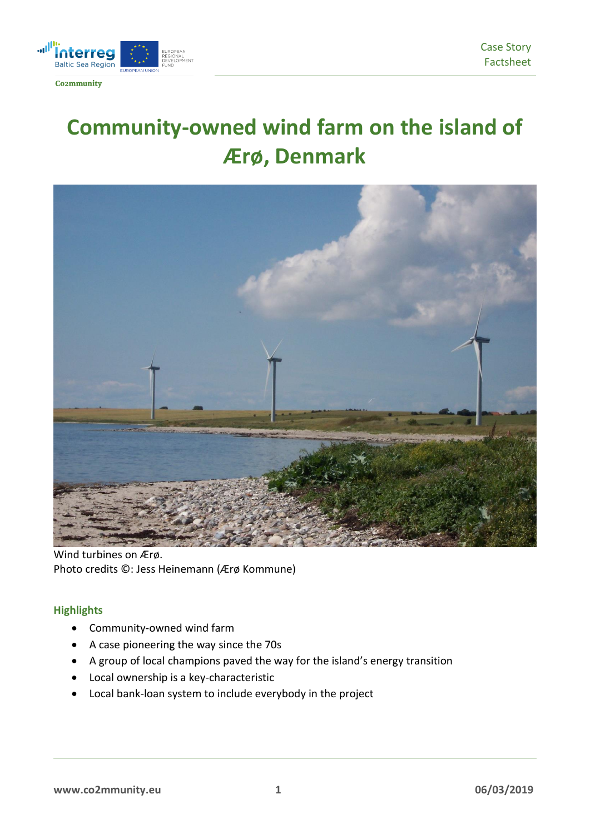

# **Community-owned wind farm on the island of Ærø, Denmark**



Wind turbines on Ærø. Photo credits ©: Jess Heinemann (Ærø Kommune)

# **Highlights**

- Community-owned wind farm
- A case pioneering the way since the 70s
- A group of local champions paved the way for the island's energy transition
- Local ownership is a key-characteristic
- Local bank-loan system to include everybody in the project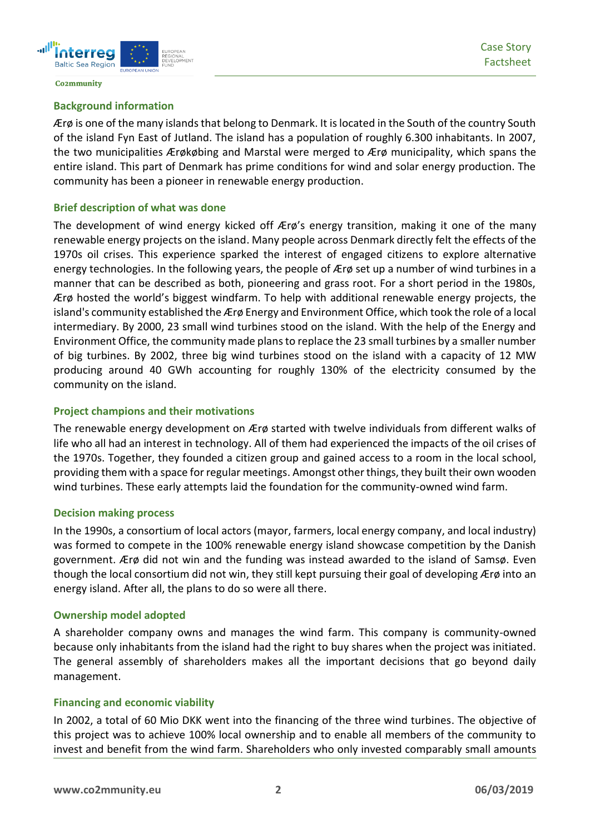

#### **Background information**

Ærø is one of the many islands that belong to Denmark. It is located in the South of the country South of the island Fyn East of Jutland. The island has a population of roughly 6.300 inhabitants. In 2007, the two municipalities Ærøkøbing and Marstal were merged to Ærø municipality, which spans the entire island. This part of Denmark has prime conditions for wind and solar energy production. The community has been a pioneer in renewable energy production.

#### **Brief description of what was done**

The development of wind energy kicked off Ærø's energy transition, making it one of the many renewable energy projects on the island. Many people across Denmark directly felt the effects of the 1970s oil crises. This experience sparked the interest of engaged citizens to explore alternative energy technologies. In the following years, the people of Ærø set up a number of wind turbines in a manner that can be described as both, pioneering and grass root. For a short period in the 1980s, Ærø hosted the world's biggest windfarm. To help with additional renewable energy projects, the island's community established the Ærø Energy and Environment Office, which took the role of a local intermediary. By 2000, 23 small wind turbines stood on the island. With the help of the Energy and Environment Office, the community made plans to replace the 23 small turbines by a smaller number of big turbines. By 2002, three big wind turbines stood on the island with a capacity of 12 MW producing around 40 GWh accounting for roughly 130% of the electricity consumed by the community on the island.

#### **Project champions and their motivations**

The renewable energy development on Ærø started with twelve individuals from different walks of life who all had an interest in technology. All of them had experienced the impacts of the oil crises of the 1970s. Together, they founded a citizen group and gained access to a room in the local school, providing them with a space for regular meetings. Amongst other things, they built their own wooden wind turbines. These early attempts laid the foundation for the community-owned wind farm.

#### **Decision making process**

In the 1990s, a consortium of local actors (mayor, farmers, local energy company, and local industry) was formed to compete in the 100% renewable energy island showcase competition by the Danish government. Ærø did not win and the funding was instead awarded to the island of Samsø. Even though the local consortium did not win, they still kept pursuing their goal of developing Ærø into an energy island. After all, the plans to do so were all there.

#### **Ownership model adopted**

A shareholder company owns and manages the wind farm. This company is community-owned because only inhabitants from the island had the right to buy shares when the project was initiated. The general assembly of shareholders makes all the important decisions that go beyond daily management.

# **Financing and economic viability**

In 2002, a total of 60 Mio DKK went into the financing of the three wind turbines. The objective of this project was to achieve 100% local ownership and to enable all members of the community to invest and benefit from the wind farm. Shareholders who only invested comparably small amounts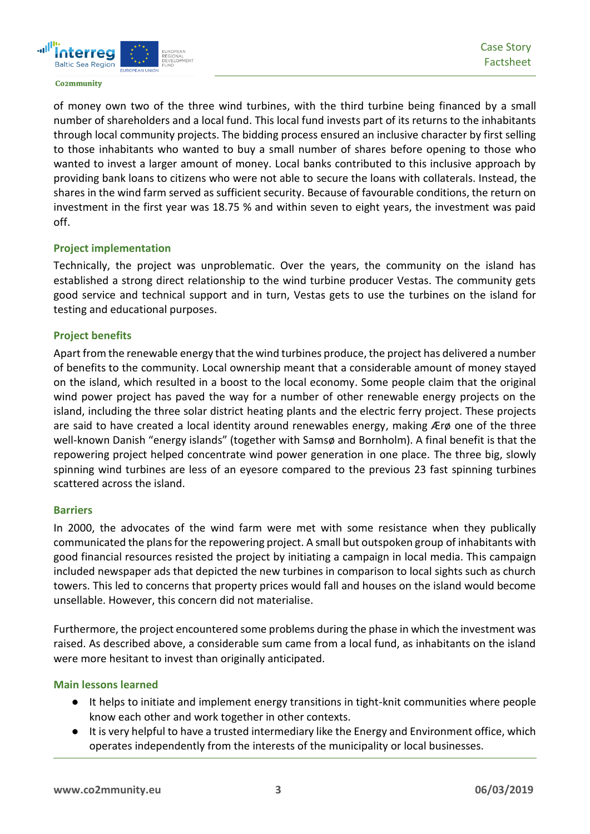

of money own two of the three wind turbines, with the third turbine being financed by a small number of shareholders and a local fund. This local fund invests part of its returns to the inhabitants through local community projects. The bidding process ensured an inclusive character by first selling to those inhabitants who wanted to buy a small number of shares before opening to those who wanted to invest a larger amount of money. Local banks contributed to this inclusive approach by providing bank loans to citizens who were not able to secure the loans with collaterals. Instead, the shares in the wind farm served as sufficient security. Because of favourable conditions, the return on investment in the first year was 18.75 % and within seven to eight years, the investment was paid off.

# **Project implementation**

Technically, the project was unproblematic. Over the years, the community on the island has established a strong direct relationship to the wind turbine producer Vestas. The community gets good service and technical support and in turn, Vestas gets to use the turbines on the island for testing and educational purposes.

# **Project benefits**

Apart from the renewable energy that the wind turbines produce, the project has delivered a number of benefits to the community. Local ownership meant that a considerable amount of money stayed on the island, which resulted in a boost to the local economy. Some people claim that the original wind power project has paved the way for a number of other renewable energy projects on the island, including the three solar district heating plants and the electric ferry project. These projects are said to have created a local identity around renewables energy, making Ærø one of the three well-known Danish "energy islands" (together with Samsø and Bornholm). A final benefit is that the repowering project helped concentrate wind power generation in one place. The three big, slowly spinning wind turbines are less of an eyesore compared to the previous 23 fast spinning turbines scattered across the island.

# **Barriers**

In 2000, the advocates of the wind farm were met with some resistance when they publically communicated the plans for the repowering project. A small but outspoken group of inhabitants with good financial resources resisted the project by initiating a campaign in local media. This campaign included newspaper ads that depicted the new turbines in comparison to local sights such as church towers. This led to concerns that property prices would fall and houses on the island would become unsellable. However, this concern did not materialise.

Furthermore, the project encountered some problems during the phase in which the investment was raised. As described above, a considerable sum came from a local fund, as inhabitants on the island were more hesitant to invest than originally anticipated.

# **Main lessons learned**

- It helps to initiate and implement energy transitions in tight-knit communities where people know each other and work together in other contexts.
- It is very helpful to have a trusted intermediary like the Energy and Environment office, which operates independently from the interests of the municipality or local businesses.